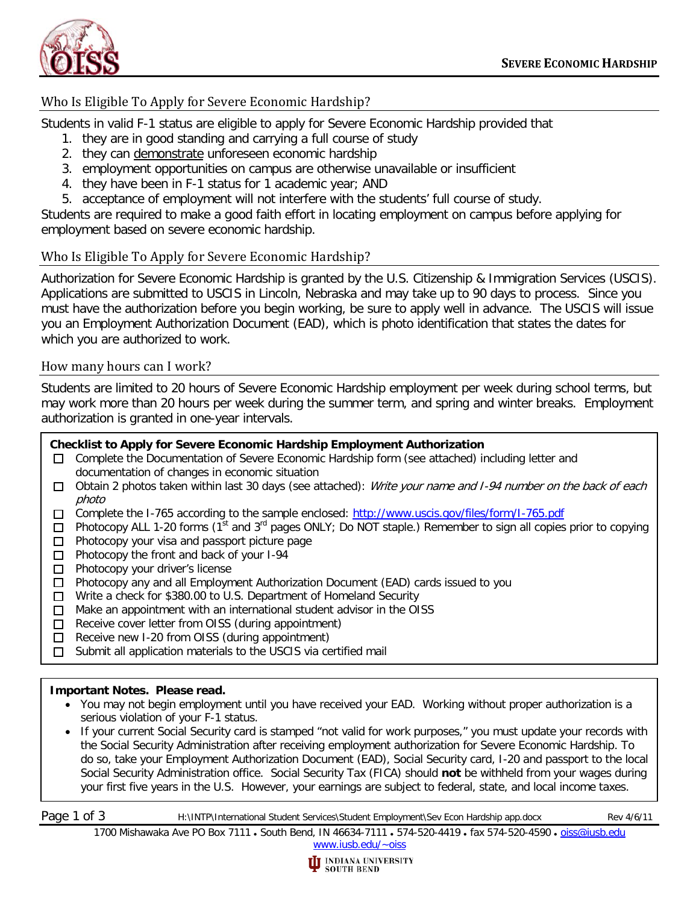

# Who Is Eligible To Apply for Severe Economic Hardship?

Students in valid F-1 status are eligible to apply for Severe Economic Hardship provided that

- 1. they are in good standing and carrying a full course of study
- 2. they can demonstrate unforeseen economic hardship
- 3. employment opportunities on campus are otherwise unavailable or insufficient
- 4. they have been in F-1 status for 1 academic year; AND
- 5. acceptance of employment will not interfere with the students' full course of study.

Students are required to make a good faith effort in locating employment on campus before applying for employment based on severe economic hardship.

## Who Is Eligible To Apply for Severe Economic Hardship?

Authorization for Severe Economic Hardship is granted by the U.S. Citizenship & Immigration Services (USCIS). Applications are submitted to USCIS in Lincoln, Nebraska and may take up to 90 days to process. Since you must have the authorization before you begin working, be sure to apply well in advance. The USCIS will issue you an Employment Authorization Document (EAD), which is photo identification that states the dates for which you are authorized to work.

## How many hours can I work?

Students are limited to 20 hours of Severe Economic Hardship employment per week during school terms, but may work more than 20 hours per week during the summer term, and spring and winter breaks. Employment authorization is granted in one-year intervals.

| Checklist to Apply for Severe Economic Hardship Employment Authorization |                                                                                                                                        |  |  |  |
|--------------------------------------------------------------------------|----------------------------------------------------------------------------------------------------------------------------------------|--|--|--|
| ш                                                                        | Complete the Documentation of Severe Economic Hardship form (see attached) including letter and                                        |  |  |  |
|                                                                          | documentation of changes in economic situation                                                                                         |  |  |  |
|                                                                          | Obtain 2 photos taken within last 30 days (see attached): Write your name and I-94 number on the back of each                          |  |  |  |
|                                                                          | photo                                                                                                                                  |  |  |  |
|                                                                          | Complete the 1-765 according to the sample enclosed: http://www.uscis.gov/files/form/1-765.pdf                                         |  |  |  |
| П                                                                        | Photocopy ALL 1-20 forms (1 <sup>st</sup> and 3 <sup>rd</sup> pages ONLY; Do NOT staple.) Remember to sign all copies prior to copying |  |  |  |
| П                                                                        | Photocopy your visa and passport picture page                                                                                          |  |  |  |
|                                                                          | Photocopy the front and back of your 1-94                                                                                              |  |  |  |
| $\mathbf{I}$                                                             | Photocopy your driver's license                                                                                                        |  |  |  |
|                                                                          | Photocopy any and all Employment Authorization Document (EAD) cards issued to you                                                      |  |  |  |
|                                                                          | Write a check for \$380.00 to U.S. Department of Homeland Security                                                                     |  |  |  |
|                                                                          | Make an appointment with an international student advisor in the OISS                                                                  |  |  |  |
|                                                                          |                                                                                                                                        |  |  |  |

- $\Box$  Receive cover letter from OISS (during appointment)
- $\Box$  Receive new I-20 from OISS (during appointment)
- $\Box$  Submit all application materials to the USCIS via certified mail

#### **Important Notes. Please read.**

• You may not begin employment until you have received your EAD. Working without proper authorization is a serious violation of your F-1 status.

• If your current Social Security card is stamped "not valid for work purposes," you must update your records with the Social Security Administration after receiving employment authorization for Severe Economic Hardship. To do so, take your Employment Authorization Document (EAD), Social Security card, I-20 and passport to the local Social Security Administration office. Social Security Tax (FICA) should **not** be withheld from your wages during your first five years in the U.S. However, your earnings are subject to federal, state, and local income taxes.

Page 1 of 3 H:\INTP\International Student Services\Student Employment\Sev Econ Hardship app.docx Rev 4/6/11

1700 Mishawaka Ave PO Box 7111 South Bend, IN 46634-7111 574-520-4419 fax 574-520-4590 [oiss@iusb.edu](mailto:oiss@iusb.edu) [www.iusb.edu/~oiss](http://www.iusb.edu/~oiss)

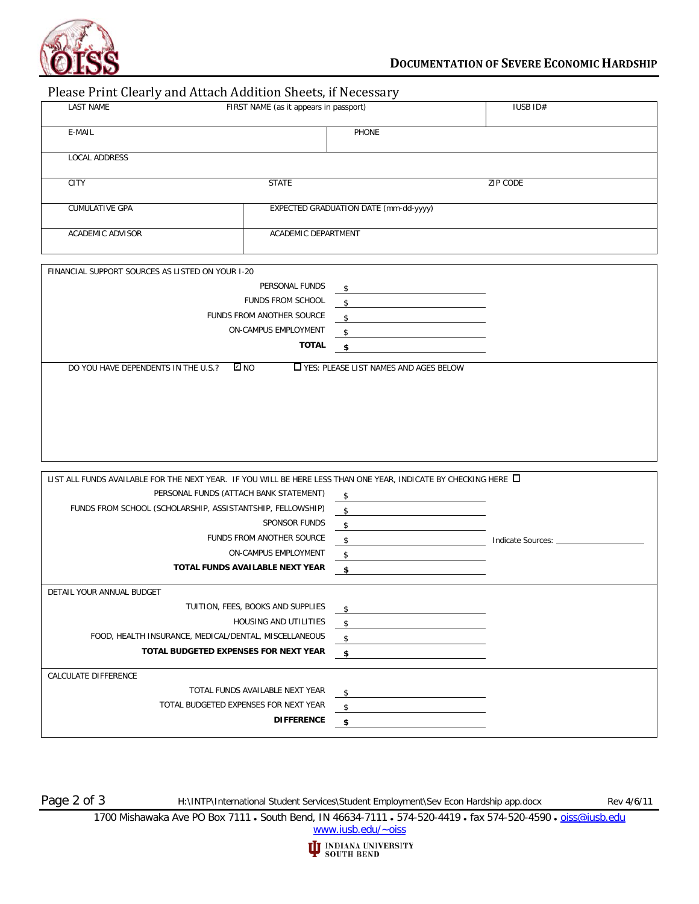

### **DOCUMENTATION OF SEVERE ECONOMIC HARDSHIP**

### Please Print Clearly and Attach Addition Sheets, if Necessary

| LAST NAME             | FIRST NAME (as it appears in passport) | IUSB ID#                              |  |
|-----------------------|----------------------------------------|---------------------------------------|--|
| E-MAIL                | PHONE                                  |                                       |  |
| LOCAL ADDRESS         |                                        |                                       |  |
| <b>CITY</b>           | <b>STATE</b>                           | ZIP CODE                              |  |
| <b>CUMULATIVE GPA</b> |                                        | EXPECTED GRADUATION DATE (mm-dd-yyyy) |  |
| ACADEMIC ADVISOR      | ACADEMIC DEPARTMENT                    |                                       |  |

| FINANCIAL SUPPORT SOURCES AS LISTED ON YOUR 1-20   |                                         |
|----------------------------------------------------|-----------------------------------------|
| PERSONAL FUNDS                                     |                                         |
| FUNDS FROM SCHOOL                                  |                                         |
| FUNDS FROM ANOTHER SOURCE                          |                                         |
| ON-CAMPUS EMPLOYMENT                               |                                         |
| <b>TOTAL</b>                                       |                                         |
| <b>⊡</b> NO<br>DO YOU HAVE DEPENDENTS IN THE U.S.? | T YES: PLEASE LIST NAMES AND AGES BELOW |

| LIST ALL FUNDS AVAILABLE FOR THE NEXT YEAR. IF YOU WILL BE HERE LESS THAN ONE YEAR, INDICATE BY CHECKING HERE <b>LI</b> |                    |                   |  |  |  |  |
|-------------------------------------------------------------------------------------------------------------------------|--------------------|-------------------|--|--|--|--|
| PERSONAL FUNDS (ATTACH BANK STATEMENT)                                                                                  | \$                 |                   |  |  |  |  |
| FUNDS FROM SCHOOL (SCHOLARSHIP, ASSISTANTSHIP, FELLOWSHIP)                                                              | \$                 |                   |  |  |  |  |
| <b>SPONSOR FUNDS</b>                                                                                                    | \$                 |                   |  |  |  |  |
| <b>FUNDS FROM ANOTHER SOURCE</b>                                                                                        | \$                 | Indicate Sources: |  |  |  |  |
| ON-CAMPUS EMPLOYMENT                                                                                                    | \$                 |                   |  |  |  |  |
| TOTAL FUNDS AVAILABLE NEXT YEAR                                                                                         | \$                 |                   |  |  |  |  |
|                                                                                                                         |                    |                   |  |  |  |  |
| DETAIL YOUR ANNUAL BUDGET                                                                                               |                    |                   |  |  |  |  |
| TUITION, FEES, BOOKS AND SUPPLIES                                                                                       | \$                 |                   |  |  |  |  |
| HOUSING AND UTILITIES                                                                                                   | \$                 |                   |  |  |  |  |
| FOOD, HEALTH INSURANCE, MEDICAL/DENTAL, MISCELLANEOUS                                                                   | \$                 |                   |  |  |  |  |
| TOTAL BUDGETED EXPENSES FOR NEXT YEAR                                                                                   | \$                 |                   |  |  |  |  |
|                                                                                                                         |                    |                   |  |  |  |  |
| CALCULATE DIFFERENCE                                                                                                    |                    |                   |  |  |  |  |
| TOTAL FUNDS AVAILABLE NEXT YEAR                                                                                         | $\mathbf{\hat{s}}$ |                   |  |  |  |  |
| TOTAL BUDGETED EXPENSES FOR NEXT YEAR                                                                                   | \$                 |                   |  |  |  |  |
| <b>DIFFERENCE</b>                                                                                                       | \$                 |                   |  |  |  |  |
|                                                                                                                         |                    |                   |  |  |  |  |

Page 2 of 3 **H:\INTP\International Student Services\Student Employment\Sev Econ Hardship app.docx** Rev 4/6/11

1700 Mishawaka Ave PO Box 7111 . South Bend, IN 46634-7111 . 574-520-4419 . fax 574-520-4590 . [oiss@iusb.edu](mailto:oiss@iusb.edu) [www.iusb.edu/~oiss](http://www.iusb.edu/~oiss)